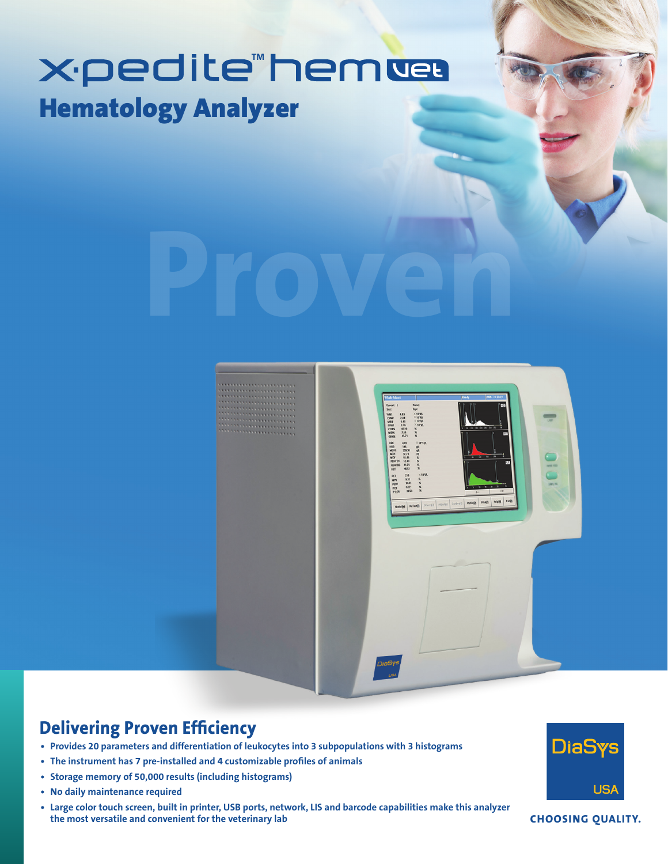## X**·pedite "hemue** Hematology Analyzer





## **Delivering Proven Efficiency**

- **• Provides 20 parameters and differentiation of leukocytes into 3 subpopulations with 3 histograms**
- **• The instrument has 7 pre-installed and 4 customizable profiles of animals**
- **• Storage memory of 50,000 results (including histograms)**
- **• No daily maintenance required**
- **• Large color touch screen, built in printer, USB ports, network, LIS and barcode capabilities make this analyzer the most versatile and convenient for the veterinary lab**



**CHOOSING QUALITY.**